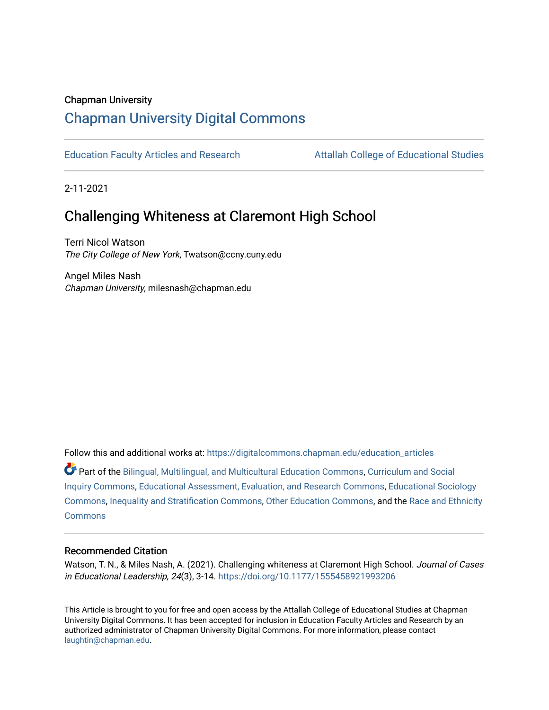### Chapman University

## [Chapman University Digital Commons](https://digitalcommons.chapman.edu/)

[Education Faculty Articles and Research](https://digitalcommons.chapman.edu/education_articles) [Attallah College of Educational Studies](https://digitalcommons.chapman.edu/ces) 

2-11-2021

# Challenging Whiteness at Claremont High School

Terri Nicol Watson The City College of New York, Twatson@ccny.cuny.edu

Angel Miles Nash Chapman University, milesnash@chapman.edu

Follow this and additional works at: [https://digitalcommons.chapman.edu/education\\_articles](https://digitalcommons.chapman.edu/education_articles?utm_source=digitalcommons.chapman.edu%2Feducation_articles%2F309&utm_medium=PDF&utm_campaign=PDFCoverPages)

Part of the [Bilingual, Multilingual, and Multicultural Education Commons,](http://network.bepress.com/hgg/discipline/785?utm_source=digitalcommons.chapman.edu%2Feducation_articles%2F309&utm_medium=PDF&utm_campaign=PDFCoverPages) [Curriculum and Social](http://network.bepress.com/hgg/discipline/1038?utm_source=digitalcommons.chapman.edu%2Feducation_articles%2F309&utm_medium=PDF&utm_campaign=PDFCoverPages)  [Inquiry Commons,](http://network.bepress.com/hgg/discipline/1038?utm_source=digitalcommons.chapman.edu%2Feducation_articles%2F309&utm_medium=PDF&utm_campaign=PDFCoverPages) [Educational Assessment, Evaluation, and Research Commons](http://network.bepress.com/hgg/discipline/796?utm_source=digitalcommons.chapman.edu%2Feducation_articles%2F309&utm_medium=PDF&utm_campaign=PDFCoverPages), [Educational Sociology](http://network.bepress.com/hgg/discipline/1071?utm_source=digitalcommons.chapman.edu%2Feducation_articles%2F309&utm_medium=PDF&utm_campaign=PDFCoverPages)  [Commons](http://network.bepress.com/hgg/discipline/1071?utm_source=digitalcommons.chapman.edu%2Feducation_articles%2F309&utm_medium=PDF&utm_campaign=PDFCoverPages), [Inequality and Stratification Commons](http://network.bepress.com/hgg/discipline/421?utm_source=digitalcommons.chapman.edu%2Feducation_articles%2F309&utm_medium=PDF&utm_campaign=PDFCoverPages), [Other Education Commons,](http://network.bepress.com/hgg/discipline/811?utm_source=digitalcommons.chapman.edu%2Feducation_articles%2F309&utm_medium=PDF&utm_campaign=PDFCoverPages) and the [Race and Ethnicity](http://network.bepress.com/hgg/discipline/426?utm_source=digitalcommons.chapman.edu%2Feducation_articles%2F309&utm_medium=PDF&utm_campaign=PDFCoverPages) [Commons](http://network.bepress.com/hgg/discipline/426?utm_source=digitalcommons.chapman.edu%2Feducation_articles%2F309&utm_medium=PDF&utm_campaign=PDFCoverPages)

#### Recommended Citation

Watson, T. N., & Miles Nash, A. (2021). Challenging whiteness at Claremont High School. Journal of Cases in Educational Leadership, 24(3), 3-14. <https://doi.org/10.1177/1555458921993206>

This Article is brought to you for free and open access by the Attallah College of Educational Studies at Chapman University Digital Commons. It has been accepted for inclusion in Education Faculty Articles and Research by an authorized administrator of Chapman University Digital Commons. For more information, please contact [laughtin@chapman.edu.](mailto:laughtin@chapman.edu)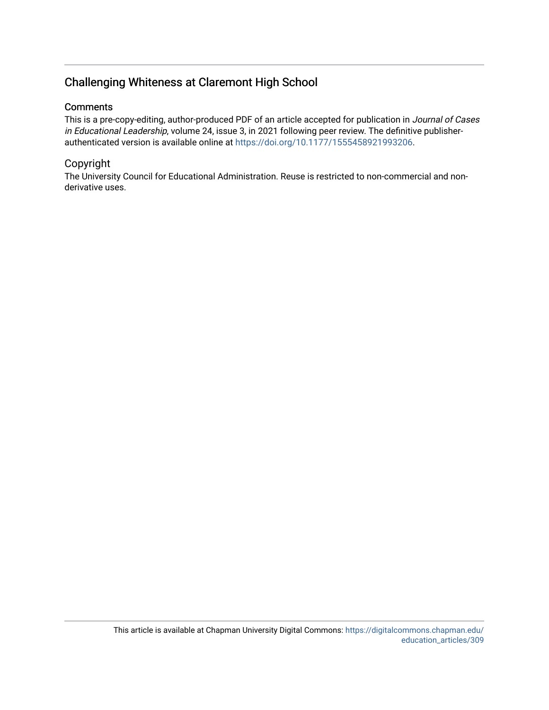## Challenging Whiteness at Claremont High School

## **Comments**

This is a pre-copy-editing, author-produced PDF of an article accepted for publication in Journal of Cases in Educational Leadership, volume 24, issue 3, in 2021 following peer review. The definitive publisherauthenticated version is available online at <https://doi.org/10.1177/1555458921993206>.

## Copyright

The University Council for Educational Administration. Reuse is restricted to non-commercial and nonderivative uses.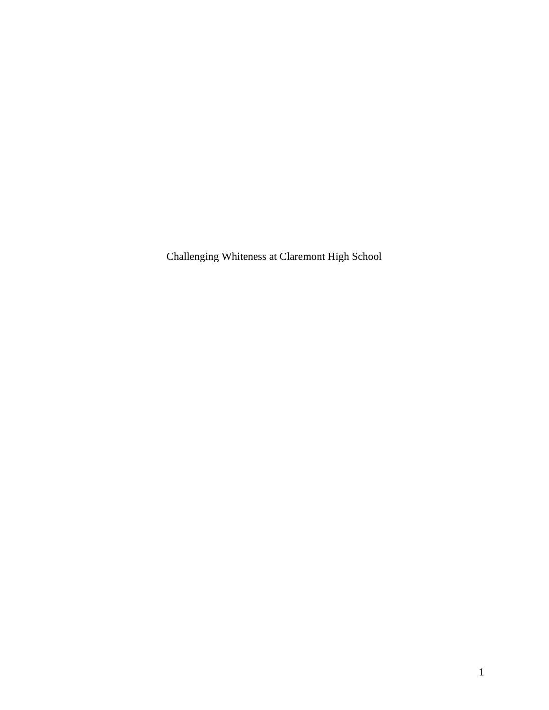Challenging Whiteness at Claremont High School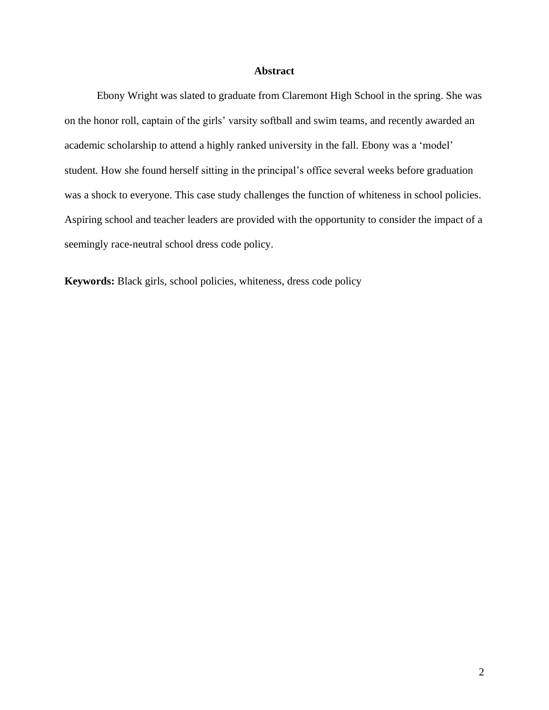## **Abstract**

Ebony Wright was slated to graduate from Claremont High School in the spring. She was on the honor roll, captain of the girls' varsity softball and swim teams, and recently awarded an academic scholarship to attend a highly ranked university in the fall. Ebony was a 'model' student. How she found herself sitting in the principal's office several weeks before graduation was a shock to everyone. This case study challenges the function of whiteness in school policies. Aspiring school and teacher leaders are provided with the opportunity to consider the impact of a seemingly race-neutral school dress code policy.

**Keywords:** Black girls, school policies, whiteness, dress code policy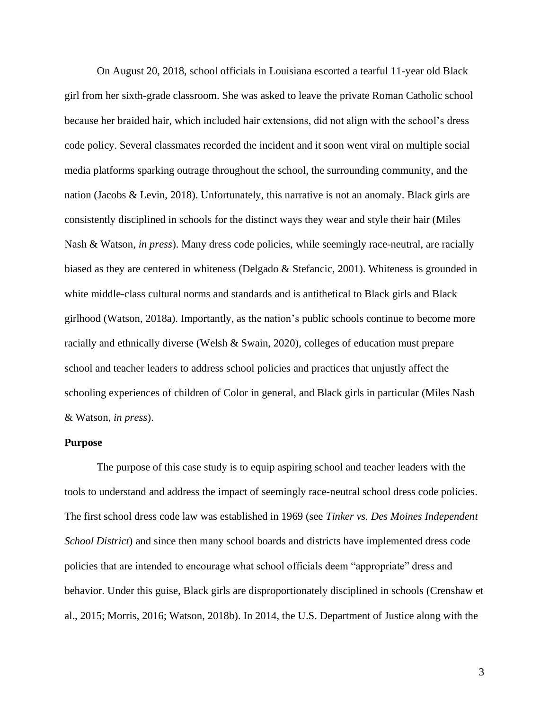On August 20, 2018, school officials in Louisiana escorted a tearful 11-year old Black girl from her sixth-grade classroom. She was asked to leave the private Roman Catholic school because her braided hair, which included hair extensions, did not align with the school's dress code policy. Several classmates recorded the incident and it soon went viral on multiple social media platforms sparking outrage throughout the school, the surrounding community, and the nation (Jacobs & Levin, 2018). Unfortunately, this narrative is not an anomaly. Black girls are consistently disciplined in schools for the distinct ways they wear and style their hair (Miles Nash & Watson, *in press*). Many dress code policies, while seemingly race-neutral, are racially biased as they are centered in whiteness (Delgado & Stefancic, 2001). Whiteness is grounded in white middle-class cultural norms and standards and is antithetical to Black girls and Black girlhood (Watson, 2018a). Importantly, as the nation's public schools continue to become more racially and ethnically diverse (Welsh & Swain, 2020), colleges of education must prepare school and teacher leaders to address school policies and practices that unjustly affect the schooling experiences of children of Color in general, and Black girls in particular (Miles Nash & Watson, *in press*).

#### **Purpose**

The purpose of this case study is to equip aspiring school and teacher leaders with the tools to understand and address the impact of seemingly race-neutral school dress code policies. The first school dress code law was established in 1969 (see *Tinker vs. Des Moines Independent School District*) and since then many school boards and districts have implemented dress code policies that are intended to encourage what school officials deem "appropriate" dress and behavior. Under this guise, Black girls are disproportionately disciplined in schools (Crenshaw et al., 2015; Morris, 2016; Watson, 2018b). In 2014, the U.S. Department of Justice along with the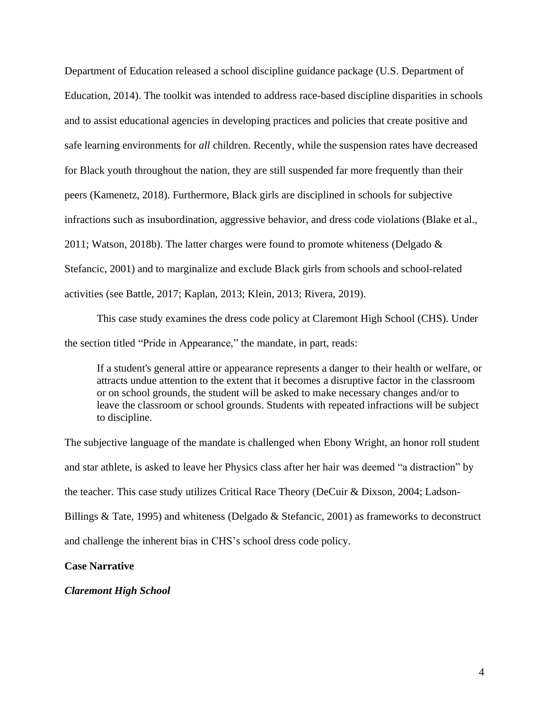Department of Education released a school discipline guidance package (U.S. Department of Education, 2014). The toolkit was intended to address race-based discipline disparities in schools and to assist educational agencies in developing practices and policies that create positive and safe learning environments for *all* children. Recently, while the suspension rates have decreased for Black youth throughout the nation, they are still suspended far more frequently than their peers (Kamenetz, 2018). Furthermore, Black girls are disciplined in schools for subjective infractions such as insubordination, aggressive behavior, and dress code violations (Blake et al., 2011; Watson, 2018b). The latter charges were found to promote whiteness (Delgado  $\&$ Stefancic, 2001) and to marginalize and exclude Black girls from schools and school-related activities (see Battle, 2017; Kaplan, 2013; Klein, 2013; Rivera, 2019).

This case study examines the dress code policy at Claremont High School (CHS). Under the section titled "Pride in Appearance," the mandate, in part, reads:

If a student's general attire or appearance represents a danger to their health or welfare, or attracts undue attention to the extent that it becomes a disruptive factor in the classroom or on school grounds, the student will be asked to make necessary changes and/or to leave the classroom or school grounds. Students with repeated infractions will be subject to discipline.

The subjective language of the mandate is challenged when Ebony Wright, an honor roll student and star athlete, is asked to leave her Physics class after her hair was deemed "a distraction" by the teacher. This case study utilizes Critical Race Theory (DeCuir & Dixson, 2004; Ladson-Billings & Tate, 1995) and whiteness (Delgado & Stefancic, 2001) as frameworks to deconstruct and challenge the inherent bias in CHS's school dress code policy.

#### **Case Narrative**

#### *Claremont High School*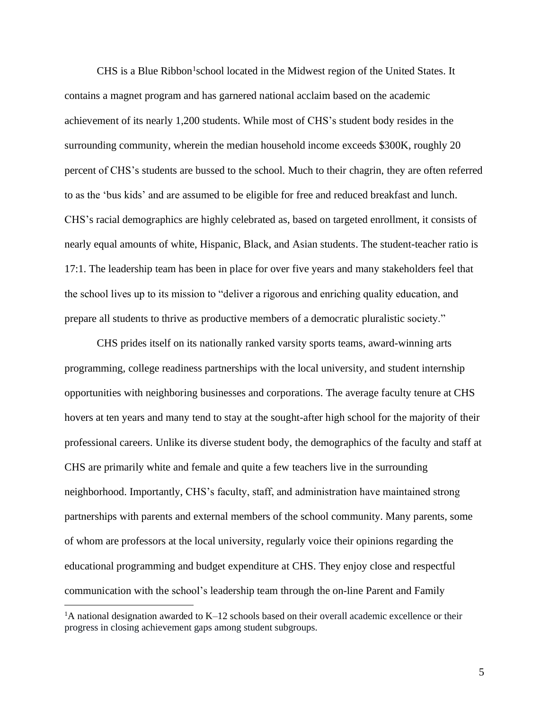CHS is a Blue Ribbon<sup>1</sup>school located in the Midwest region of the United States. It contains a magnet program and has garnered national acclaim based on the academic achievement of its nearly 1,200 students. While most of CHS's student body resides in the surrounding community, wherein the median household income exceeds \$300K, roughly 20 percent of CHS's students are bussed to the school. Much to their chagrin, they are often referred to as the 'bus kids' and are assumed to be eligible for free and reduced breakfast and lunch. CHS's racial demographics are highly celebrated as, based on targeted enrollment, it consists of nearly equal amounts of white, Hispanic, Black, and Asian students. The student-teacher ratio is 17:1. The leadership team has been in place for over five years and many stakeholders feel that the school lives up to its mission to "deliver a rigorous and enriching quality education, and prepare all students to thrive as productive members of a democratic pluralistic society."

CHS prides itself on its nationally ranked varsity sports teams, award-winning arts programming, college readiness partnerships with the local university, and student internship opportunities with neighboring businesses and corporations. The average faculty tenure at CHS hovers at ten years and many tend to stay at the sought-after high school for the majority of their professional careers. Unlike its diverse student body, the demographics of the faculty and staff at CHS are primarily white and female and quite a few teachers live in the surrounding neighborhood. Importantly, CHS's faculty, staff, and administration have maintained strong partnerships with parents and external members of the school community. Many parents, some of whom are professors at the local university, regularly voice their opinions regarding the educational programming and budget expenditure at CHS. They enjoy close and respectful communication with the school's leadership team through the on-line Parent and Family

<sup>&</sup>lt;sup>1</sup>A national designation awarded to  $K-12$  schools based on their overall academic excellence or their progress in closing achievement gaps among student subgroups.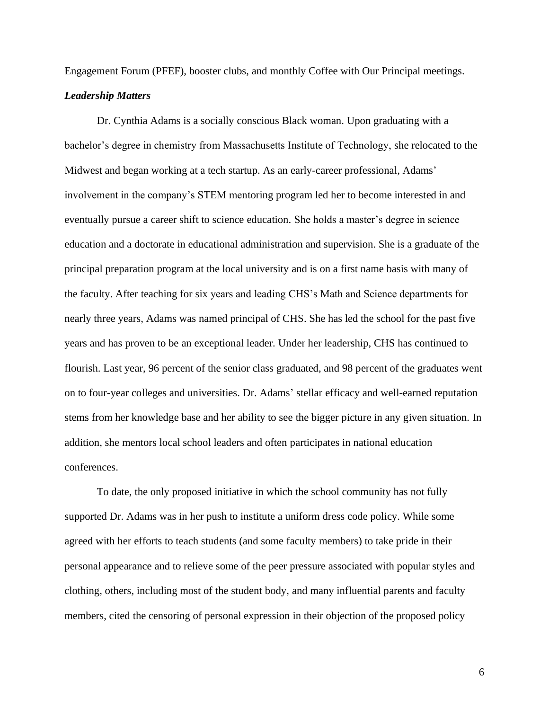Engagement Forum (PFEF), booster clubs, and monthly Coffee with Our Principal meetings.

## *Leadership Matters*

Dr. Cynthia Adams is a socially conscious Black woman. Upon graduating with a bachelor's degree in chemistry from Massachusetts Institute of Technology, she relocated to the Midwest and began working at a tech startup. As an early-career professional, Adams' involvement in the company's STEM mentoring program led her to become interested in and eventually pursue a career shift to science education. She holds a master's degree in science education and a doctorate in educational administration and supervision. She is a graduate of the principal preparation program at the local university and is on a first name basis with many of the faculty. After teaching for six years and leading CHS's Math and Science departments for nearly three years, Adams was named principal of CHS. She has led the school for the past five years and has proven to be an exceptional leader. Under her leadership, CHS has continued to flourish. Last year, 96 percent of the senior class graduated, and 98 percent of the graduates went on to four-year colleges and universities. Dr. Adams' stellar efficacy and well-earned reputation stems from her knowledge base and her ability to see the bigger picture in any given situation. In addition, she mentors local school leaders and often participates in national education conferences.

To date, the only proposed initiative in which the school community has not fully supported Dr. Adams was in her push to institute a uniform dress code policy. While some agreed with her efforts to teach students (and some faculty members) to take pride in their personal appearance and to relieve some of the peer pressure associated with popular styles and clothing, others, including most of the student body, and many influential parents and faculty members, cited the censoring of personal expression in their objection of the proposed policy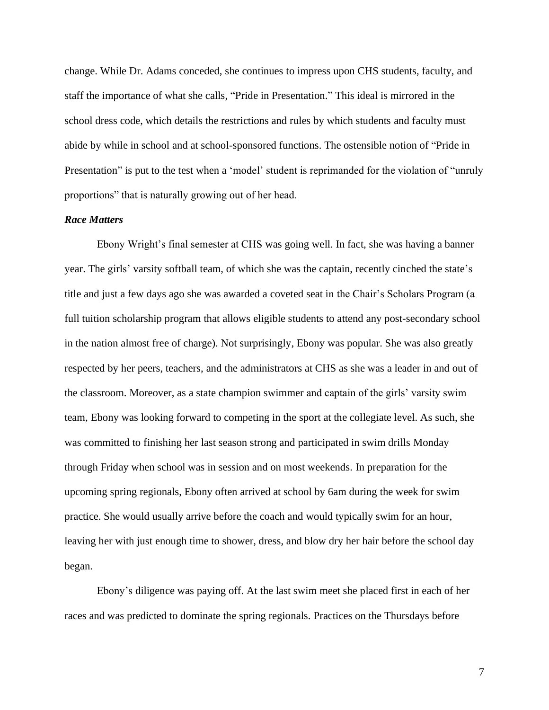change. While Dr. Adams conceded, she continues to impress upon CHS students, faculty, and staff the importance of what she calls, "Pride in Presentation." This ideal is mirrored in the school dress code, which details the restrictions and rules by which students and faculty must abide by while in school and at school-sponsored functions. The ostensible notion of "Pride in Presentation" is put to the test when a 'model' student is reprimanded for the violation of "unruly proportions" that is naturally growing out of her head.

#### *Race Matters*

Ebony Wright's final semester at CHS was going well. In fact, she was having a banner year. The girls' varsity softball team, of which she was the captain, recently cinched the state's title and just a few days ago she was awarded a coveted seat in the Chair's Scholars Program (a full tuition scholarship program that allows eligible students to attend any post-secondary school in the nation almost free of charge). Not surprisingly, Ebony was popular. She was also greatly respected by her peers, teachers, and the administrators at CHS as she was a leader in and out of the classroom. Moreover, as a state champion swimmer and captain of the girls' varsity swim team, Ebony was looking forward to competing in the sport at the collegiate level. As such, she was committed to finishing her last season strong and participated in swim drills Monday through Friday when school was in session and on most weekends. In preparation for the upcoming spring regionals, Ebony often arrived at school by 6am during the week for swim practice. She would usually arrive before the coach and would typically swim for an hour, leaving her with just enough time to shower, dress, and blow dry her hair before the school day began.

Ebony's diligence was paying off. At the last swim meet she placed first in each of her races and was predicted to dominate the spring regionals. Practices on the Thursdays before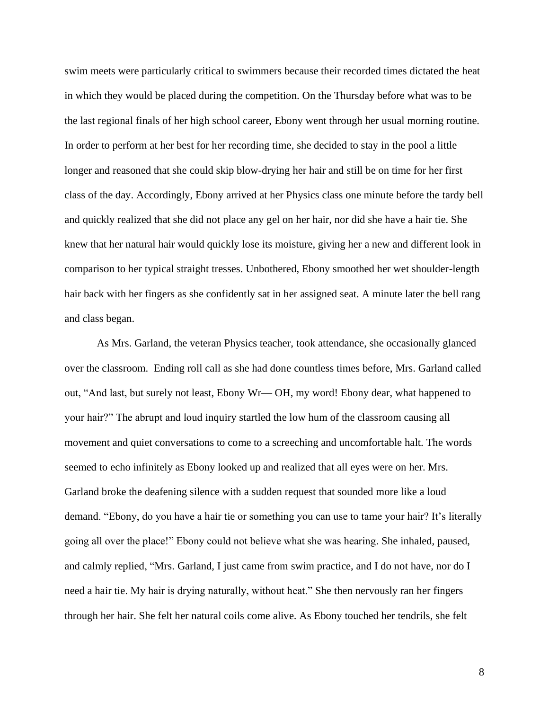swim meets were particularly critical to swimmers because their recorded times dictated the heat in which they would be placed during the competition. On the Thursday before what was to be the last regional finals of her high school career, Ebony went through her usual morning routine. In order to perform at her best for her recording time, she decided to stay in the pool a little longer and reasoned that she could skip blow-drying her hair and still be on time for her first class of the day. Accordingly, Ebony arrived at her Physics class one minute before the tardy bell and quickly realized that she did not place any gel on her hair, nor did she have a hair tie. She knew that her natural hair would quickly lose its moisture, giving her a new and different look in comparison to her typical straight tresses. Unbothered, Ebony smoothed her wet shoulder-length hair back with her fingers as she confidently sat in her assigned seat. A minute later the bell rang and class began.

As Mrs. Garland, the veteran Physics teacher, took attendance, she occasionally glanced over the classroom. Ending roll call as she had done countless times before, Mrs. Garland called out, "And last, but surely not least, Ebony Wr— OH, my word! Ebony dear, what happened to your hair?" The abrupt and loud inquiry startled the low hum of the classroom causing all movement and quiet conversations to come to a screeching and uncomfortable halt. The words seemed to echo infinitely as Ebony looked up and realized that all eyes were on her. Mrs. Garland broke the deafening silence with a sudden request that sounded more like a loud demand. "Ebony, do you have a hair tie or something you can use to tame your hair? It's literally going all over the place!" Ebony could not believe what she was hearing. She inhaled, paused, and calmly replied, "Mrs. Garland, I just came from swim practice, and I do not have, nor do I need a hair tie. My hair is drying naturally, without heat." She then nervously ran her fingers through her hair. She felt her natural coils come alive. As Ebony touched her tendrils, she felt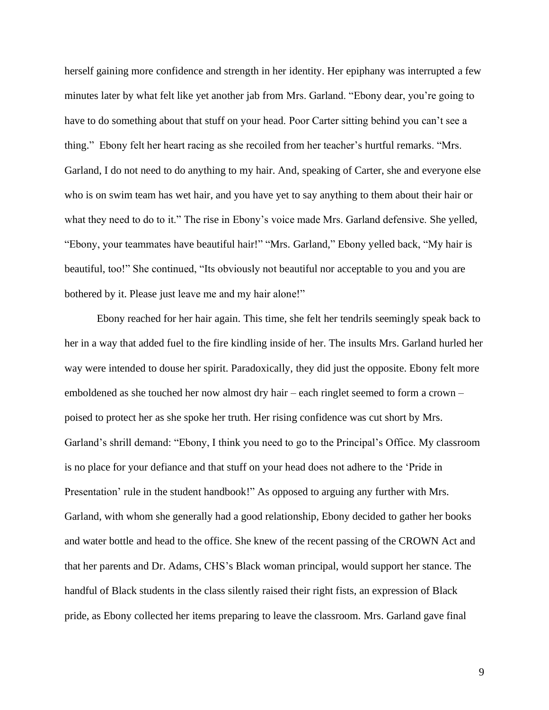herself gaining more confidence and strength in her identity. Her epiphany was interrupted a few minutes later by what felt like yet another jab from Mrs. Garland. "Ebony dear, you're going to have to do something about that stuff on your head. Poor Carter sitting behind you can't see a thing." Ebony felt her heart racing as she recoiled from her teacher's hurtful remarks. "Mrs. Garland, I do not need to do anything to my hair. And, speaking of Carter, she and everyone else who is on swim team has wet hair, and you have yet to say anything to them about their hair or what they need to do to it." The rise in Ebony's voice made Mrs. Garland defensive. She yelled, "Ebony, your teammates have beautiful hair!" "Mrs. Garland," Ebony yelled back, "My hair is beautiful, too!" She continued, "Its obviously not beautiful nor acceptable to you and you are bothered by it. Please just leave me and my hair alone!"

Ebony reached for her hair again. This time, she felt her tendrils seemingly speak back to her in a way that added fuel to the fire kindling inside of her. The insults Mrs. Garland hurled her way were intended to douse her spirit. Paradoxically, they did just the opposite. Ebony felt more emboldened as she touched her now almost dry hair – each ringlet seemed to form a crown – poised to protect her as she spoke her truth. Her rising confidence was cut short by Mrs. Garland's shrill demand: "Ebony, I think you need to go to the Principal's Office. My classroom is no place for your defiance and that stuff on your head does not adhere to the 'Pride in Presentation' rule in the student handbook!" As opposed to arguing any further with Mrs. Garland, with whom she generally had a good relationship, Ebony decided to gather her books and water bottle and head to the office. She knew of the recent passing of the CROWN Act and that her parents and Dr. Adams, CHS's Black woman principal, would support her stance. The handful of Black students in the class silently raised their right fists, an expression of Black pride, as Ebony collected her items preparing to leave the classroom. Mrs. Garland gave final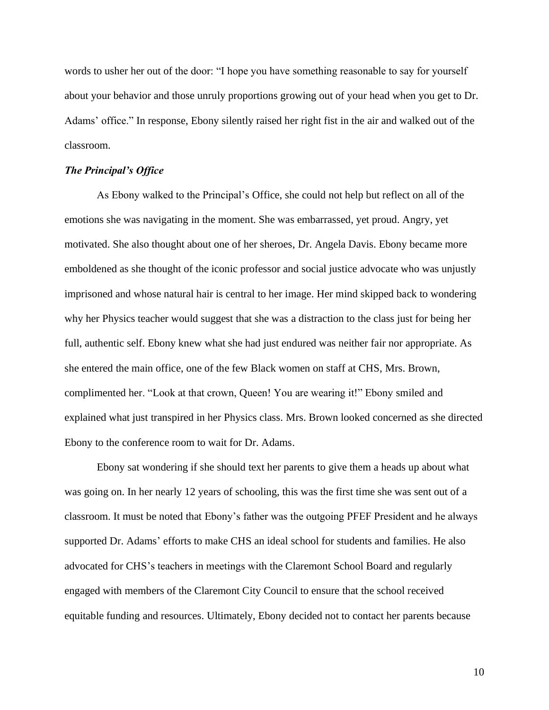words to usher her out of the door: "I hope you have something reasonable to say for yourself about your behavior and those unruly proportions growing out of your head when you get to Dr. Adams' office." In response, Ebony silently raised her right fist in the air and walked out of the classroom.

#### *The Principal's Office*

As Ebony walked to the Principal's Office, she could not help but reflect on all of the emotions she was navigating in the moment. She was embarrassed, yet proud. Angry, yet motivated. She also thought about one of her sheroes, Dr. Angela Davis. Ebony became more emboldened as she thought of the iconic professor and social justice advocate who was unjustly imprisoned and whose natural hair is central to her image. Her mind skipped back to wondering why her Physics teacher would suggest that she was a distraction to the class just for being her full, authentic self. Ebony knew what she had just endured was neither fair nor appropriate. As she entered the main office, one of the few Black women on staff at CHS, Mrs. Brown, complimented her. "Look at that crown, Queen! You are wearing it!" Ebony smiled and explained what just transpired in her Physics class. Mrs. Brown looked concerned as she directed Ebony to the conference room to wait for Dr. Adams.

Ebony sat wondering if she should text her parents to give them a heads up about what was going on. In her nearly 12 years of schooling, this was the first time she was sent out of a classroom. It must be noted that Ebony's father was the outgoing PFEF President and he always supported Dr. Adams' efforts to make CHS an ideal school for students and families. He also advocated for CHS's teachers in meetings with the Claremont School Board and regularly engaged with members of the Claremont City Council to ensure that the school received equitable funding and resources. Ultimately, Ebony decided not to contact her parents because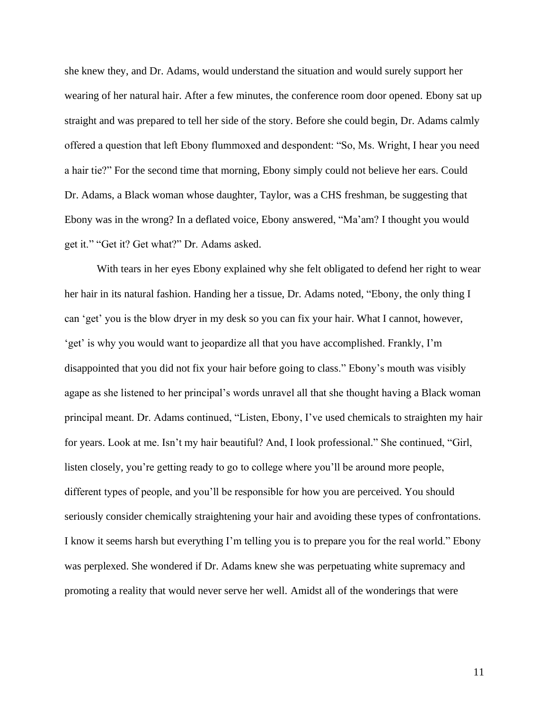she knew they, and Dr. Adams, would understand the situation and would surely support her wearing of her natural hair. After a few minutes, the conference room door opened. Ebony sat up straight and was prepared to tell her side of the story. Before she could begin, Dr. Adams calmly offered a question that left Ebony flummoxed and despondent: "So, Ms. Wright, I hear you need a hair tie?" For the second time that morning, Ebony simply could not believe her ears. Could Dr. Adams, a Black woman whose daughter, Taylor, was a CHS freshman, be suggesting that Ebony was in the wrong? In a deflated voice, Ebony answered, "Ma'am? I thought you would get it." "Get it? Get what?" Dr. Adams asked.

With tears in her eyes Ebony explained why she felt obligated to defend her right to wear her hair in its natural fashion. Handing her a tissue, Dr. Adams noted, "Ebony, the only thing I can 'get' you is the blow dryer in my desk so you can fix your hair. What I cannot, however, 'get' is why you would want to jeopardize all that you have accomplished. Frankly, I'm disappointed that you did not fix your hair before going to class." Ebony's mouth was visibly agape as she listened to her principal's words unravel all that she thought having a Black woman principal meant. Dr. Adams continued, "Listen, Ebony, I've used chemicals to straighten my hair for years. Look at me. Isn't my hair beautiful? And, I look professional." She continued, "Girl, listen closely, you're getting ready to go to college where you'll be around more people, different types of people, and you'll be responsible for how you are perceived. You should seriously consider chemically straightening your hair and avoiding these types of confrontations. I know it seems harsh but everything I'm telling you is to prepare you for the real world." Ebony was perplexed. She wondered if Dr. Adams knew she was perpetuating white supremacy and promoting a reality that would never serve her well. Amidst all of the wonderings that were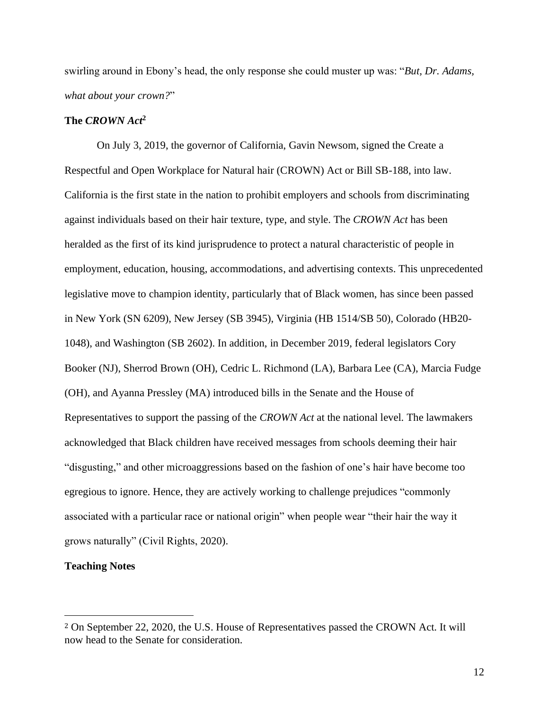swirling around in Ebony's head, the only response she could muster up was: "*But, Dr. Adams, what about your crown?*"

### **The** *CROWN Act***<sup>2</sup>**

On July 3, 2019, the governor of California, Gavin Newsom, signed the Create a Respectful and Open Workplace for Natural hair (CROWN) Act or Bill SB-188, into law. California is the first state in the nation to prohibit employers and schools from discriminating against individuals based on their hair texture, type, and style. The *CROWN Act* has been heralded as the first of its kind jurisprudence to protect a natural characteristic of people in employment, education, housing, accommodations, and advertising contexts. This unprecedented legislative move to champion identity, particularly that of Black women, has since been passed in New York (SN 6209), New Jersey (SB 3945), Virginia (HB 1514/SB 50), Colorado (HB20- 1048), and Washington (SB 2602). In addition, in December 2019, federal legislators Cory Booker (NJ), Sherrod Brown (OH), Cedric L. Richmond (LA), Barbara Lee (CA), Marcia Fudge (OH), and Ayanna Pressley (MA) introduced bills in the Senate and the House of Representatives to support the passing of the *CROWN Act* at the national level. The lawmakers acknowledged that Black children have received messages from schools deeming their hair "disgusting," and other microaggressions based on the fashion of one's hair have become too egregious to ignore. Hence, they are actively working to challenge prejudices "commonly associated with a particular race or national origin" when people wear "their hair the way it grows naturally" (Civil Rights, 2020).

#### **Teaching Notes**

<sup>2</sup> On September 22, 2020, the U.S. House of Representatives passed the CROWN Act. It will now head to the Senate for consideration.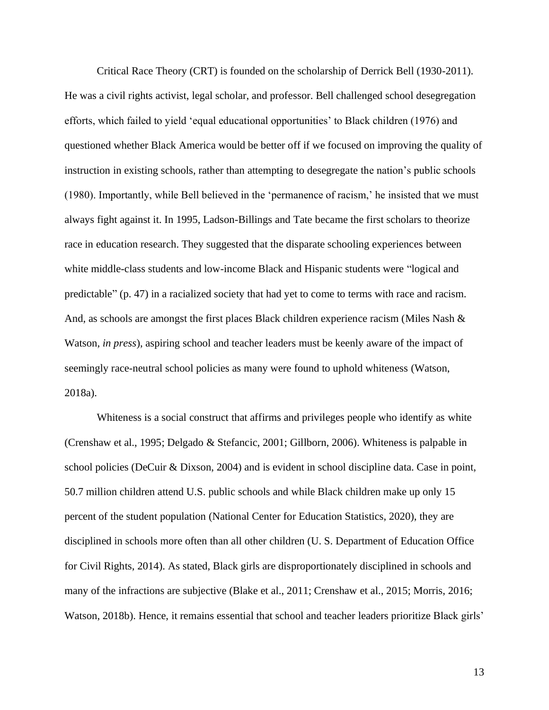Critical Race Theory (CRT) is founded on the scholarship of Derrick Bell (1930-2011). He was a civil rights activist, legal scholar, and professor. Bell challenged school desegregation efforts, which failed to yield 'equal educational opportunities' to Black children (1976) and questioned whether Black America would be better off if we focused on improving the quality of instruction in existing schools, rather than attempting to desegregate the nation's public schools (1980). Importantly, while Bell believed in the 'permanence of racism,' he insisted that we must always fight against it. In 1995, Ladson-Billings and Tate became the first scholars to theorize race in education research. They suggested that the disparate schooling experiences between white middle-class students and low-income Black and Hispanic students were "logical and predictable" (p. 47) in a racialized society that had yet to come to terms with race and racism. And, as schools are amongst the first places Black children experience racism (Miles Nash & Watson, *in press*), aspiring school and teacher leaders must be keenly aware of the impact of seemingly race-neutral school policies as many were found to uphold whiteness (Watson, 2018a).

Whiteness is a social construct that affirms and privileges people who identify as white (Crenshaw et al., 1995; Delgado & Stefancic, 2001; Gillborn, 2006). Whiteness is palpable in school policies (DeCuir & Dixson, 2004) and is evident in school discipline data. Case in point, 50.7 million children attend U.S. public schools and while Black children make up only 15 percent of the student population (National Center for Education Statistics, 2020), they are disciplined in schools more often than all other children (U. S. Department of Education Office for Civil Rights, 2014). As stated, Black girls are disproportionately disciplined in schools and many of the infractions are subjective (Blake et al., 2011; Crenshaw et al., 2015; Morris, 2016; Watson, 2018b). Hence, it remains essential that school and teacher leaders prioritize Black girls'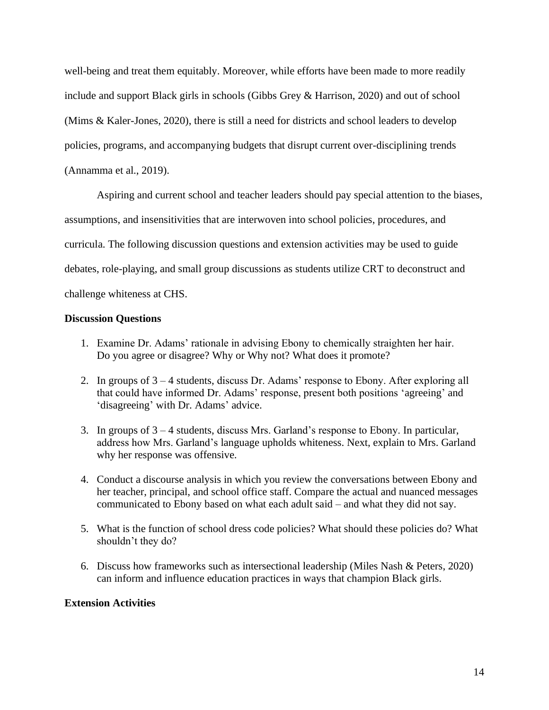well-being and treat them equitably. Moreover, while efforts have been made to more readily include and support Black girls in schools (Gibbs Grey & Harrison, 2020) and out of school (Mims & Kaler-Jones, 2020), there is still a need for districts and school leaders to develop policies, programs, and accompanying budgets that disrupt current over-disciplining trends (Annamma et al., 2019).

Aspiring and current school and teacher leaders should pay special attention to the biases, assumptions, and insensitivities that are interwoven into school policies, procedures, and curricula. The following discussion questions and extension activities may be used to guide debates, role-playing, and small group discussions as students utilize CRT to deconstruct and challenge whiteness at CHS.

## **Discussion Questions**

- 1. Examine Dr. Adams' rationale in advising Ebony to chemically straighten her hair. Do you agree or disagree? Why or Why not? What does it promote?
- 2. In groups of 3 4 students, discuss Dr. Adams' response to Ebony. After exploring all that could have informed Dr. Adams' response, present both positions 'agreeing' and 'disagreeing' with Dr. Adams' advice.
- 3. In groups of 3 4 students, discuss Mrs. Garland's response to Ebony. In particular, address how Mrs. Garland's language upholds whiteness. Next, explain to Mrs. Garland why her response was offensive.
- 4. Conduct a discourse analysis in which you review the conversations between Ebony and her teacher, principal, and school office staff. Compare the actual and nuanced messages communicated to Ebony based on what each adult said – and what they did not say.
- 5. What is the function of school dress code policies? What should these policies do? What shouldn't they do?
- 6. Discuss how frameworks such as intersectional leadership (Miles Nash & Peters, 2020) can inform and influence education practices in ways that champion Black girls.

## **Extension Activities**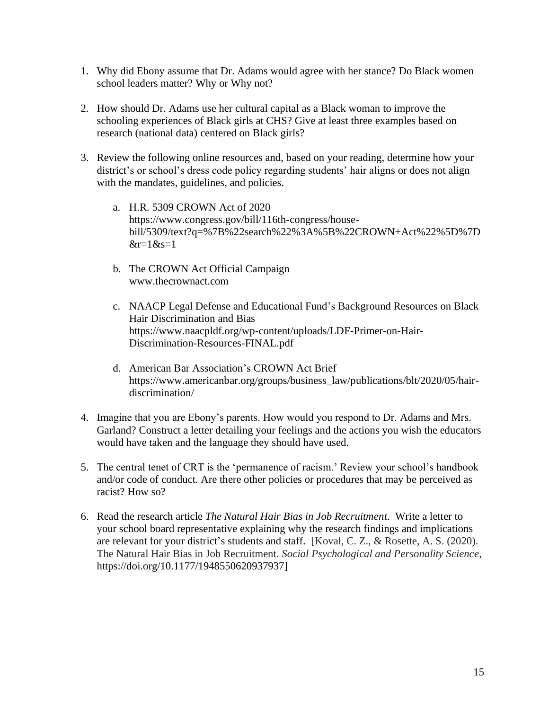- 1. Why did Ebony assume that Dr. Adams would agree with her stance? Do Black women school leaders matter? Why or Why not?
- 2. How should Dr. Adams use her cultural capital as a Black woman to improve the schooling experiences of Black girls at CHS? Give at least three examples based on research (national data) centered on Black girls?
- 3. Review the following online resources and, based on your reading, determine how your district's or school's dress code policy regarding students' hair aligns or does not align with the mandates, guidelines, and policies.
	- a. H.R. 5309 CROWN Act of 2020 https://www.congress.gov/bill/116th-congress/housebill/5309/text?q=%7B%22search%22%3A%5B%22CROWN+Act%22%5D%7D  $\⊂>r=1$  $⊂>s=1$
	- b. The CROWN Act Official Campaign www.thecrownact.com
	- c. NAACP Legal Defense and Educational Fund's Background Resources on Black Hair Discrimination and Bias https://www.naacpldf.org/wp-content/uploads/LDF-Primer-on-Hair-Discrimination-Resources-FINAL.pdf
	- d. American Bar Association's CROWN Act Brief https://www.americanbar.org/groups/business\_law/publications/blt/2020/05/hairdiscrimination/
- 4. Imagine that you are Ebony's parents. How would you respond to Dr. Adams and Mrs. Garland? Construct a letter detailing your feelings and the actions you wish the educators would have taken and the language they should have used.
- 5. The central tenet of CRT is the 'permanence of racism.' Review your school's handbook and/or code of conduct. Are there other policies or procedures that may be perceived as racist? How so?
- 6. Read the research article *The Natural Hair Bias in Job Recruitment*. Write a letter to your school board representative explaining why the research findings and implications are relevant for your district's students and staff. [Koval, C. Z., & Rosette, A. S. (2020). The Natural Hair Bias in Job Recruitment. *Social Psychological and Personality Science*, https://doi.org/10.1177/1948550620937937]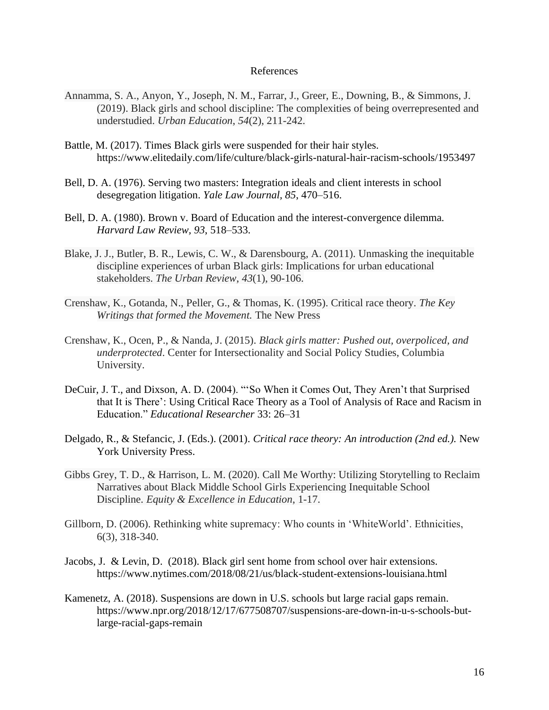#### References

- Annamma, S. A., Anyon, Y., Joseph, N. M., Farrar, J., Greer, E., Downing, B., & Simmons, J. (2019). Black girls and school discipline: The complexities of being overrepresented and understudied. *Urban Education*, *54*(2), 211-242.
- Battle, M. (2017). Times Black girls were suspended for their hair styles. https://www.elitedaily.com/life/culture/black-girls-natural-hair-racism-schools/1953497
- Bell, D. A. (1976). Serving two masters: Integration ideals and client interests in school desegregation litigation. *Yale Law Journal, 85*, 470–516.
- Bell, D. A. (1980). Brown v. Board of Education and the interest-convergence dilemma. *Harvard Law Review, 93*, 518–533.
- Blake, J. J., Butler, B. R., Lewis, C. W., & Darensbourg, A. (2011). Unmasking the inequitable discipline experiences of urban Black girls: Implications for urban educational stakeholders. *The Urban Review*, *43*(1), 90-106.
- Crenshaw, K., Gotanda, N., Peller, G., & Thomas, K. (1995). Critical race theory. *The Key Writings that formed the Movement.* The New Press
- Crenshaw, K., Ocen, P., & Nanda, J. (2015). *Black girls matter: Pushed out, overpoliced, and underprotected*. Center for Intersectionality and Social Policy Studies, Columbia University.
- DeCuir, J. T., and Dixson, A. D. (2004). "'So When it Comes Out, They Aren't that Surprised that It is There': Using Critical Race Theory as a Tool of Analysis of Race and Racism in Education." *Educational Researcher* 33: 26–31
- Delgado, R., & Stefancic, J. (Eds.). (2001). *Critical race theory: An introduction (2nd ed.).* New York University Press.
- Gibbs Grey, T. D., & Harrison, L. M. (2020). Call Me Worthy: Utilizing Storytelling to Reclaim Narratives about Black Middle School Girls Experiencing Inequitable School Discipline. *Equity & Excellence in Education*, 1-17.
- Gillborn, D. (2006). Rethinking white supremacy: Who counts in 'WhiteWorld'. Ethnicities, 6(3), 318-340.
- Jacobs, J. & Levin, D. (2018). Black girl sent home from school over hair extensions. https://www.nytimes.com/2018/08/21/us/black-student-extensions-louisiana.html
- Kamenetz, A. (2018). Suspensions are down in U.S. schools but large racial gaps remain. https://www.npr.org/2018/12/17/677508707/suspensions-are-down-in-u-s-schools-butlarge-racial-gaps-remain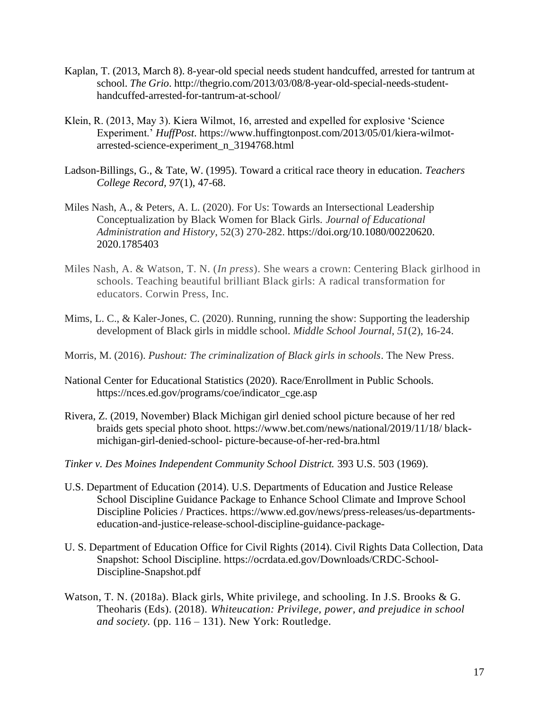- Kaplan, T. (2013, March 8). 8-year-old special needs student handcuffed, arrested for tantrum at school. *The Grio*. http://thegrio.com/2013/03/08/8-year-old-special-needs-studenthandcuffed-arrested-for-tantrum-at-school/
- Klein, R. (2013, May 3). Kiera Wilmot, 16, arrested and expelled for explosive 'Science Experiment.' *HuffPost*. https://www.huffingtonpost.com/2013/05/01/kiera-wilmotarrested-science-experiment\_n\_3194768.html
- Ladson-Billings, G., & Tate, W. (1995). Toward a critical race theory in education. *Teachers College Record, 97*(1), 47-68.
- Miles Nash, A., & Peters, A. L. (2020). For Us: Towards an Intersectional Leadership Conceptualization by Black Women for Black Girls. *Journal of Educational Administration and History*, 52(3) 270-282. https://doi.org/10.1080/00220620. 2020.1785403
- Miles Nash, A. & Watson, T. N. (*In press*). She wears a crown: Centering Black girlhood in schools. Teaching beautiful brilliant Black girls: A radical transformation for educators. Corwin Press, Inc.
- Mims, L. C., & Kaler-Jones, C. (2020). Running, running the show: Supporting the leadership development of Black girls in middle school. *Middle School Journal*, *51*(2), 16-24.
- Morris, M. (2016). *Pushout: The criminalization of Black girls in schools*. The New Press.
- National Center for Educational Statistics (2020). Race/Enrollment in Public Schools. https://nces.ed.gov/programs/coe/indicator\_cge.asp
- Rivera, Z. (2019, November) Black Michigan girl denied school picture because of her red braids gets special photo shoot. https://www.bet.com/news/national/2019/11/18/ blackmichigan-girl-denied-school- picture-because-of-her-red-bra.html
- *Tinker v. Des Moines Independent Community School District.* 393 U.S. 503 (1969).
- U.S. Department of Education (2014). U.S. Departments of Education and Justice Release School Discipline Guidance Package to Enhance School Climate and Improve School Discipline Policies / Practices. [https://www.ed.gov/news/press-releases/us-departments](https://www.ed.gov/news/press-releases/us-departments-education-and-justice-release-school-discipline-guidance-package-)[education-and-justice-release-school-discipline-guidance-package-](https://www.ed.gov/news/press-releases/us-departments-education-and-justice-release-school-discipline-guidance-package-)
- U. S. Department of Education Office for Civil Rights (2014). Civil Rights Data Collection, Data Snapshot: School Discipline. [https://ocrdata.ed.gov/Downloads/CRDC-School-](https://ocrdata.ed.gov/Downloads/CRDC-School-Discipline-Snapshot.pdf)[Discipline-Snapshot.pdf](https://ocrdata.ed.gov/Downloads/CRDC-School-Discipline-Snapshot.pdf)
- Watson, T. N. (2018a). Black girls, White privilege, and schooling. In J.S. Brooks & G. Theoharis (Eds). (2018). *Whiteucation: Privilege, power, and prejudice in school and society.* (pp. 116 – 131). New York: Routledge.